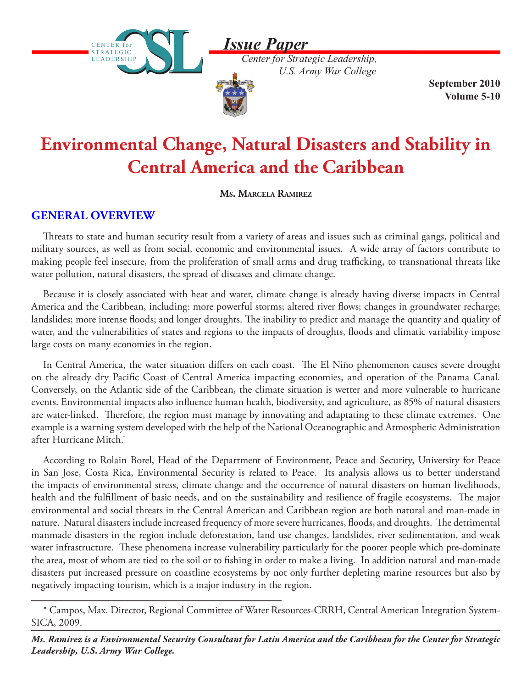*Issue Paper*





*Center for Strategic Leadership, U.S. Army War College*

**September 2010 Volume 5-10**

# **Environmental Change, Natural Disasters and Stability in Central America and the Caribbean**

**Ms. Marcela Ramirez**

## **GENERAL OVERVIEW**

Threats to state and human security result from a variety of areas and issues such as criminal gangs, political and military sources, as well as from social, economic and environmental issues. A wide array of factors contribute to making people feel insecure, from the proliferation of small arms and drug trafficking, to transnational threats like water pollution, natural disasters, the spread of diseases and climate change.

Because it is closely associated with heat and water, climate change is already having diverse impacts in Central America and the Caribbean, including: more powerful storms; altered river flows; changes in groundwater recharge; landslides; more intense floods; and longer droughts. The inability to predict and manage the quantity and quality of water, and the vulnerabilities of states and regions to the impacts of droughts, floods and climatic variability impose large costs on many economies in the region.

In Central America, the water situation differs on each coast. The El Niño phenomenon causes severe drought on the already dry Pacific Coast of Central America impacting economies, and operation of the Panama Canal. Conversely, on the Atlantic side of the Caribbean, the climate situation is wetter and more vulnerable to hurricane events. Environmental impacts also influence human health, biodiversity, and agriculture, as 85% of natural disasters are water-linked. Therefore, the region must manage by innovating and adaptating to these climate extremes. One example is a warning system developed with the help of the National Oceanographic and Atmospheric Administration after Hurricane Mitch.\*

According to Rolain Borel, Head of the Department of Environment, Peace and Security, University for Peace in San Jose, Costa Rica, Environmental Security is related to Peace. Its analysis allows us to better understand the impacts of environmental stress, climate change and the occurrence of natural disasters on human livelihoods, health and the fulfillment of basic needs, and on the sustainability and resilience of fragile ecosystems. The major environmental and social threats in the Central American and Caribbean region are both natural and man-made in nature. Natural disasters include increased frequency of more severe hurricanes, floods, and droughts. The detrimental manmade disasters in the region include deforestation, land use changes, landslides, river sedimentation, and weak water infrastructure. These phenomena increase vulnerability particularly for the poorer people which pre-dominate the area, most of whom are tied to the soil or to fishing in order to make a living. In addition natural and man-made disasters put increased pressure on coastline ecosystems by not only further depleting marine resources but also by negatively impacting tourism, which is a major industry in the region.

<sup>\*</sup> Campos, Max. Director, Regional Committee of Water Resources-CRRH, Central American Integration System-SICA, 2009.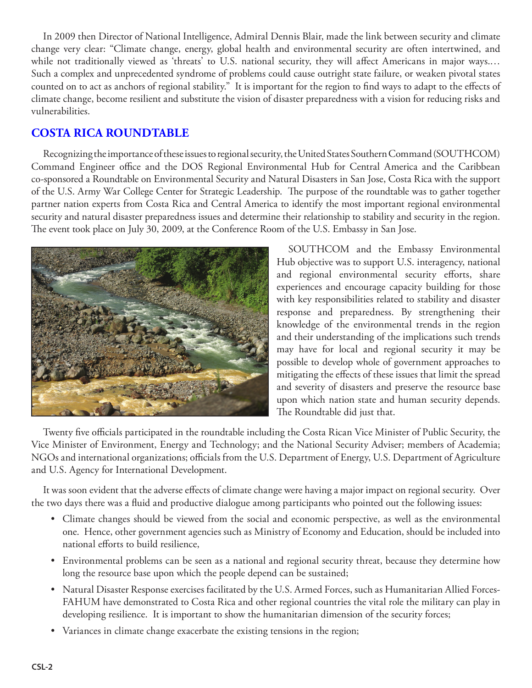In 2009 then Director of National Intelligence, Admiral Dennis Blair, made the link between security and climate change very clear: "Climate change, energy, global health and environmental security are often intertwined, and while not traditionally viewed as 'threats' to U.S. national security, they will affect Americans in major ways.… Such a complex and unprecedented syndrome of problems could cause outright state failure, or weaken pivotal states counted on to act as anchors of regional stability." It is important for the region to find ways to adapt to the effects of climate change, become resilient and substitute the vision of disaster preparedness with a vision for reducing risks and vulnerabilities.

#### **COSTA RICA ROUNDTABLE**

Recognizing the importance of these issues to regional security, the United States Southern Command (SOUTHCOM) Command Engineer office and the DOS Regional Environmental Hub for Central America and the Caribbean co-sponsored a Roundtable on Environmental Security and Natural Disasters in San Jose, Costa Rica with the support of the U.S. Army War College Center for Strategic Leadership. The purpose of the roundtable was to gather together partner nation experts from Costa Rica and Central America to identify the most important regional environmental security and natural disaster preparedness issues and determine their relationship to stability and security in the region. The event took place on July 30, 2009, at the Conference Room of the U.S. Embassy in San Jose.



SOUTHCOM and the Embassy Environmental Hub objective was to support U.S. interagency, national and regional environmental security efforts, share experiences and encourage capacity building for those with key responsibilities related to stability and disaster response and preparedness. By strengthening their knowledge of the environmental trends in the region and their understanding of the implications such trends may have for local and regional security it may be possible to develop whole of government approaches to mitigating the effects of these issues that limit the spread and severity of disasters and preserve the resource base upon which nation state and human security depends. The Roundtable did just that.

Twenty five officials participated in the roundtable including the Costa Rican Vice Minister of Public Security, the Vice Minister of Environment, Energy and Technology; and the National Security Adviser; members of Academia; NGOs and international organizations; officials from the U.S. Department of Energy, U.S. Department of Agriculture and U.S. Agency for International Development.

It was soon evident that the adverse effects of climate change were having a major impact on regional security. Over the two days there was a fluid and productive dialogue among participants who pointed out the following issues:

- Climate changes should be viewed from the social and economic perspective, as well as the environmental one. Hence, other government agencies such as Ministry of Economy and Education, should be included into national efforts to build resilience,
- Environmental problems can be seen as a national and regional security threat, because they determine how long the resource base upon which the people depend can be sustained;
- Natural Disaster Response exercises facilitated by the U.S. Armed Forces, such as Humanitarian Allied Forces-FAHUM have demonstrated to Costa Rica and other regional countries the vital role the military can play in developing resilience. It is important to show the humanitarian dimension of the security forces;
- Variances in climate change exacerbate the existing tensions in the region;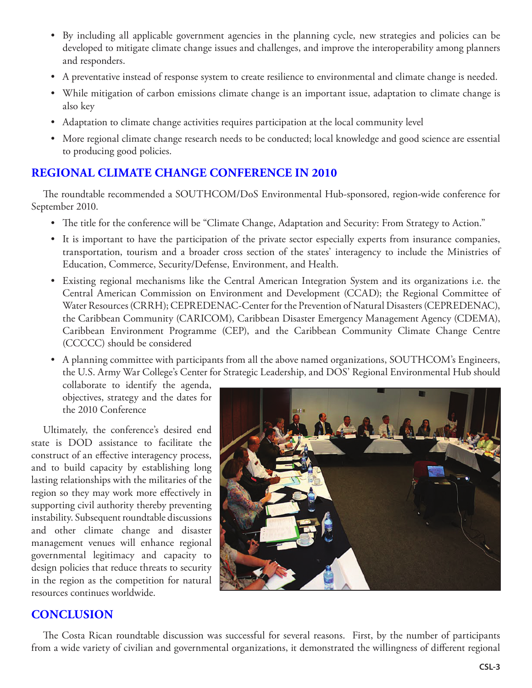- By including all applicable government agencies in the planning cycle, new strategies and policies can be developed to mitigate climate change issues and challenges, and improve the interoperability among planners and responders.
- A preventative instead of response system to create resilience to environmental and climate change is needed.
- While mitigation of carbon emissions climate change is an important issue, adaptation to climate change is also key
- Adaptation to climate change activities requires participation at the local community level
- More regional climate change research needs to be conducted; local knowledge and good science are essential to producing good policies.

### **REGIONAL CLIMATE CHANGE CONFERENCE IN 2010**

The roundtable recommended a SOUTHCOM/DoS Environmental Hub-sponsored, region-wide conference for September 2010.

- The title for the conference will be "Climate Change, Adaptation and Security: From Strategy to Action."
- It is important to have the participation of the private sector especially experts from insurance companies, transportation, tourism and a broader cross section of the states' interagency to include the Ministries of Education, Commerce, Security/Defense, Environment, and Health.
- Existing regional mechanisms like the Central American Integration System and its organizations i.e. the Central American Commission on Environment and Development (CCAD); the Regional Committee of Water Resources (CRRH); CEPREDENAC-Center for the Prevention of Natural Disasters (CEPREDENAC), the Caribbean Community (CARICOM), Caribbean Disaster Emergency Management Agency (CDEMA), Caribbean Environment Programme (CEP), and the Caribbean Community Climate Change Centre (CCCCC) should be considered
- A planning committee with participants from all the above named organizations, SOUTHCOM's Engineers, the U.S. Army War College's Center for Strategic Leadership, and DOS' Regional Environmental Hub should

collaborate to identify the agenda, objectives, strategy and the dates for the 2010 Conference

Ultimately, the conference's desired end state is DOD assistance to facilitate the construct of an effective interagency process, and to build capacity by establishing long lasting relationships with the militaries of the region so they may work more effectively in supporting civil authority thereby preventing instability. Subsequent roundtable discussions and other climate change and disaster management venues will enhance regional governmental legitimacy and capacity to design policies that reduce threats to security in the region as the competition for natural resources continues worldwide.



#### **CONCLUSION**

The Costa Rican roundtable discussion was successful for several reasons. First, by the number of participants from a wide variety of civilian and governmental organizations, it demonstrated the willingness of different regional